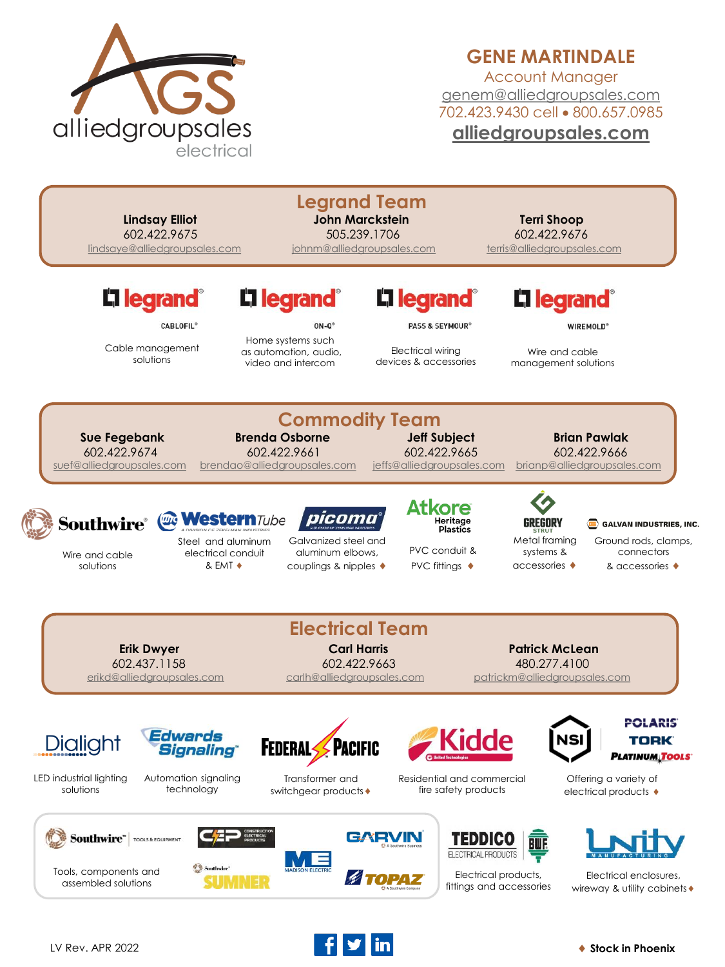

## **GENE MARTINDALE**

Account Manager [genem@alliedgroupsales.com](mailto:genem@alliedgroupsales.com) 702.423.9430 cell • 800.657.0985 **[alliedgroupsales.com](http://www.alliedgroupsales.com/)**

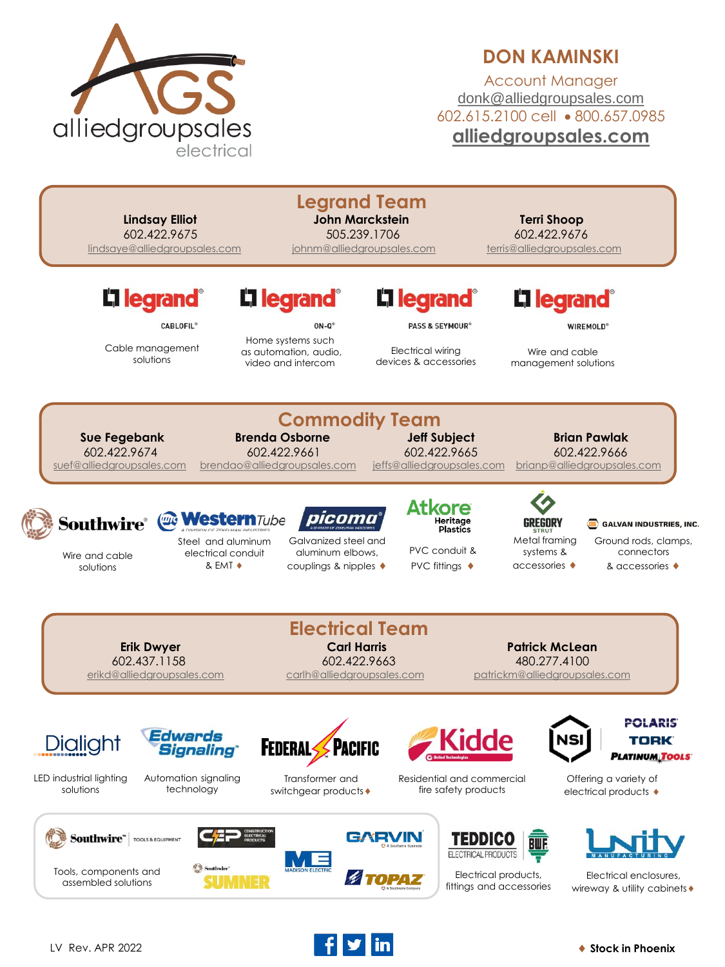

## **DON KAMINSKI**

Account Manager [donk@alliedgroupsales.com](mailto:donk@alliedgroupsales.com) 602.615.2100 cell • 800.657.0985 **[alliedgroupsales.com](http://www.alliedgroupsales.com/)**